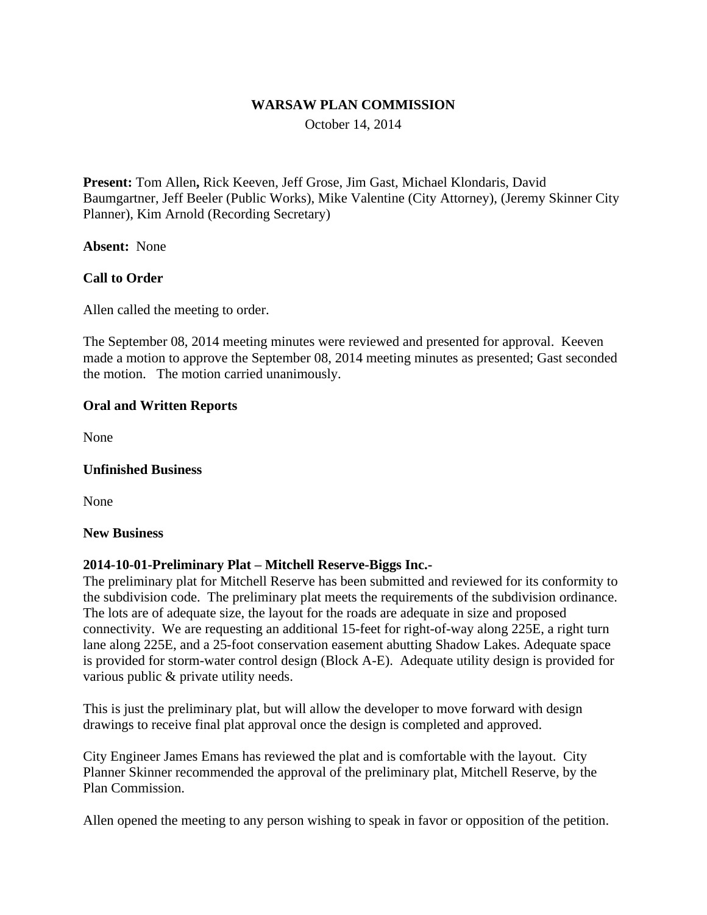#### **WARSAW PLAN COMMISSION**

October 14, 2014

**Present:** Tom Allen**,** Rick Keeven, Jeff Grose, Jim Gast, Michael Klondaris, David Baumgartner, Jeff Beeler (Public Works), Mike Valentine (City Attorney), (Jeremy Skinner City Planner), Kim Arnold (Recording Secretary)

**Absent:** None

## **Call to Order**

Allen called the meeting to order.

The September 08, 2014 meeting minutes were reviewed and presented for approval. Keeven made a motion to approve the September 08, 2014 meeting minutes as presented; Gast seconded the motion. The motion carried unanimously.

## **Oral and Written Reports**

None

## **Unfinished Business**

None

#### **New Business**

## **2014-10-01-Preliminary Plat – Mitchell Reserve-Biggs Inc.-**

The preliminary plat for Mitchell Reserve has been submitted and reviewed for its conformity to the subdivision code. The preliminary plat meets the requirements of the subdivision ordinance. The lots are of adequate size, the layout for the roads are adequate in size and proposed connectivity. We are requesting an additional 15-feet for right-of-way along 225E, a right turn lane along 225E, and a 25-foot conservation easement abutting Shadow Lakes. Adequate space is provided for storm-water control design (Block A-E). Adequate utility design is provided for various public & private utility needs.

This is just the preliminary plat, but will allow the developer to move forward with design drawings to receive final plat approval once the design is completed and approved.

City Engineer James Emans has reviewed the plat and is comfortable with the layout. City Planner Skinner recommended the approval of the preliminary plat, Mitchell Reserve, by the Plan Commission.

Allen opened the meeting to any person wishing to speak in favor or opposition of the petition.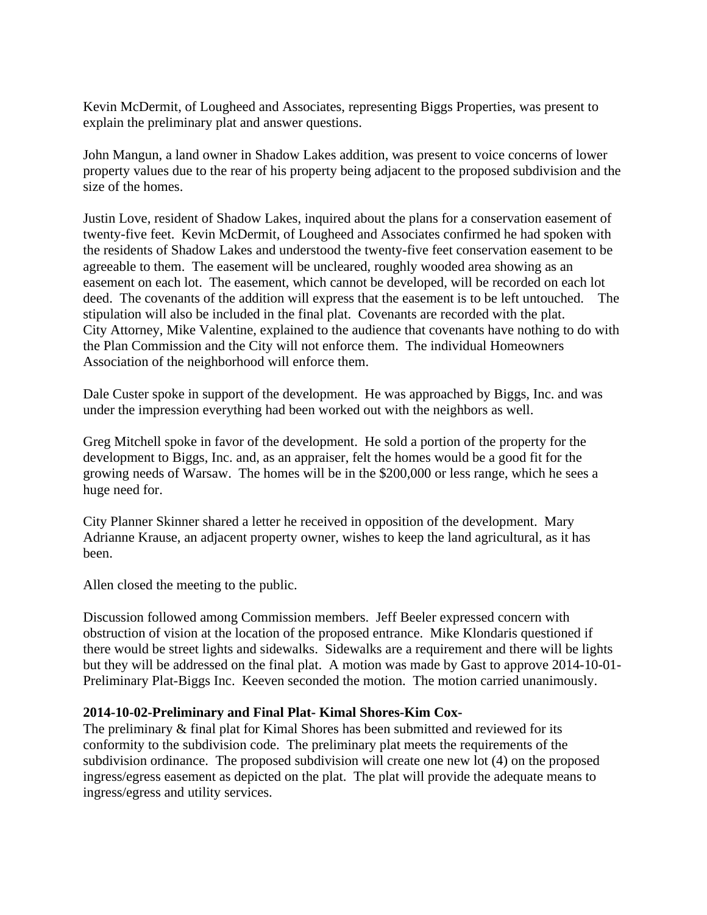Kevin McDermit, of Lougheed and Associates, representing Biggs Properties, was present to explain the preliminary plat and answer questions.

John Mangun, a land owner in Shadow Lakes addition, was present to voice concerns of lower property values due to the rear of his property being adjacent to the proposed subdivision and the size of the homes.

Justin Love, resident of Shadow Lakes, inquired about the plans for a conservation easement of twenty-five feet. Kevin McDermit, of Lougheed and Associates confirmed he had spoken with the residents of Shadow Lakes and understood the twenty-five feet conservation easement to be agreeable to them. The easement will be uncleared, roughly wooded area showing as an easement on each lot. The easement, which cannot be developed, will be recorded on each lot deed. The covenants of the addition will express that the easement is to be left untouched. The stipulation will also be included in the final plat. Covenants are recorded with the plat. City Attorney, Mike Valentine, explained to the audience that covenants have nothing to do with the Plan Commission and the City will not enforce them. The individual Homeowners Association of the neighborhood will enforce them.

Dale Custer spoke in support of the development. He was approached by Biggs, Inc. and was under the impression everything had been worked out with the neighbors as well.

Greg Mitchell spoke in favor of the development. He sold a portion of the property for the development to Biggs, Inc. and, as an appraiser, felt the homes would be a good fit for the growing needs of Warsaw. The homes will be in the \$200,000 or less range, which he sees a huge need for.

City Planner Skinner shared a letter he received in opposition of the development. Mary Adrianne Krause, an adjacent property owner, wishes to keep the land agricultural, as it has been.

Allen closed the meeting to the public.

Discussion followed among Commission members. Jeff Beeler expressed concern with obstruction of vision at the location of the proposed entrance. Mike Klondaris questioned if there would be street lights and sidewalks. Sidewalks are a requirement and there will be lights but they will be addressed on the final plat. A motion was made by Gast to approve 2014-10-01- Preliminary Plat-Biggs Inc. Keeven seconded the motion. The motion carried unanimously.

#### **2014-10-02-Preliminary and Final Plat- Kimal Shores-Kim Cox-**

The preliminary & final plat for Kimal Shores has been submitted and reviewed for its conformity to the subdivision code. The preliminary plat meets the requirements of the subdivision ordinance. The proposed subdivision will create one new lot (4) on the proposed ingress/egress easement as depicted on the plat. The plat will provide the adequate means to ingress/egress and utility services.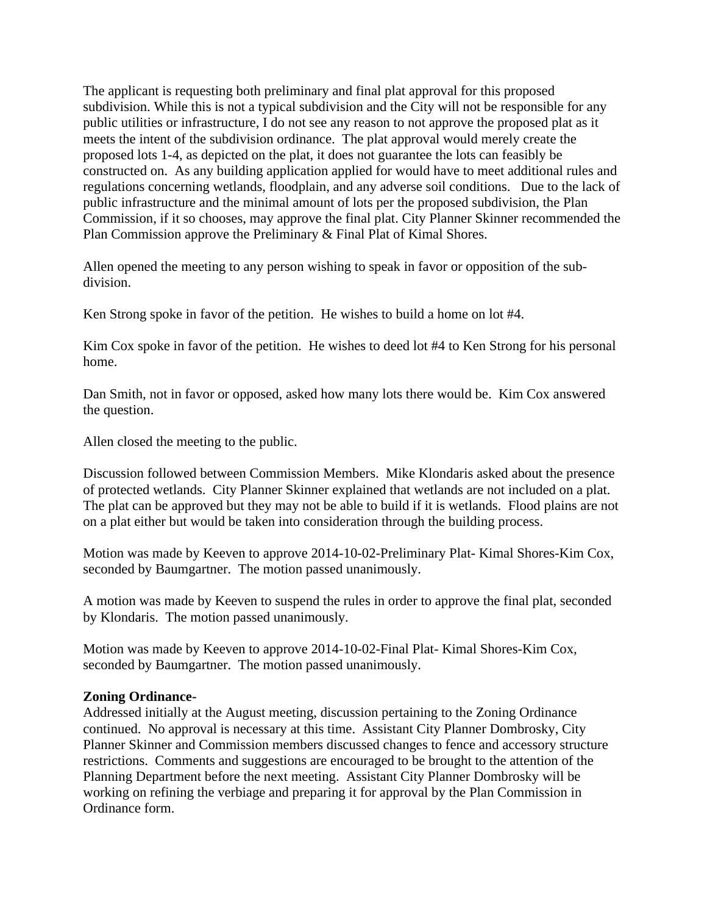The applicant is requesting both preliminary and final plat approval for this proposed subdivision. While this is not a typical subdivision and the City will not be responsible for any public utilities or infrastructure, I do not see any reason to not approve the proposed plat as it meets the intent of the subdivision ordinance. The plat approval would merely create the proposed lots 1-4, as depicted on the plat, it does not guarantee the lots can feasibly be constructed on. As any building application applied for would have to meet additional rules and regulations concerning wetlands, floodplain, and any adverse soil conditions. Due to the lack of public infrastructure and the minimal amount of lots per the proposed subdivision, the Plan Commission, if it so chooses, may approve the final plat. City Planner Skinner recommended the Plan Commission approve the Preliminary & Final Plat of Kimal Shores.

Allen opened the meeting to any person wishing to speak in favor or opposition of the subdivision.

Ken Strong spoke in favor of the petition. He wishes to build a home on lot #4.

Kim Cox spoke in favor of the petition. He wishes to deed lot #4 to Ken Strong for his personal home.

Dan Smith, not in favor or opposed, asked how many lots there would be. Kim Cox answered the question.

Allen closed the meeting to the public.

Discussion followed between Commission Members. Mike Klondaris asked about the presence of protected wetlands. City Planner Skinner explained that wetlands are not included on a plat. The plat can be approved but they may not be able to build if it is wetlands. Flood plains are not on a plat either but would be taken into consideration through the building process.

Motion was made by Keeven to approve 2014-10-02-Preliminary Plat- Kimal Shores-Kim Cox, seconded by Baumgartner. The motion passed unanimously.

A motion was made by Keeven to suspend the rules in order to approve the final plat, seconded by Klondaris. The motion passed unanimously.

Motion was made by Keeven to approve 2014-10-02-Final Plat- Kimal Shores-Kim Cox, seconded by Baumgartner. The motion passed unanimously.

#### **Zoning Ordinance-**

Addressed initially at the August meeting, discussion pertaining to the Zoning Ordinance continued. No approval is necessary at this time. Assistant City Planner Dombrosky, City Planner Skinner and Commission members discussed changes to fence and accessory structure restrictions. Comments and suggestions are encouraged to be brought to the attention of the Planning Department before the next meeting. Assistant City Planner Dombrosky will be working on refining the verbiage and preparing it for approval by the Plan Commission in Ordinance form.